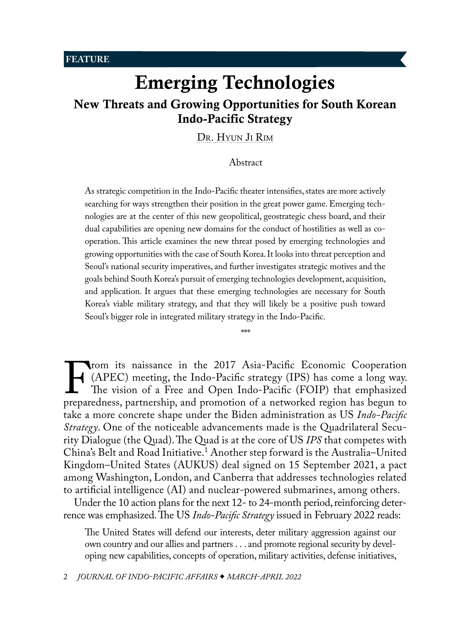<span id="page-0-1"></span>**FEATURE**

# Emerging Technologies New Threats and Growing Opportunities for South Korean Indo-Pacific Strategy

[Dr. Hyun Ji](#page-11-0) Rim

## <span id="page-0-0"></span>Abstract

As strategic competition in the Indo-Pacific theater intensifies, states are more actively searching for ways strengthen their position in the great power game. Emerging technologies are at the center of this new geopolitical, geostrategic chess board, and their dual capabilities are opening new domains for the conduct of hostilities as well as cooperation. This article examines the new threat posed by emerging technologies and growing opportunities with the case of South Korea. It looks into threat perception and Seoul's national security imperatives, and further investigates strategic motives and the goals behind South Korea's pursuit of emerging technologies development, acquisition, and application. It argues that these emerging technologies are necessary for South Korea's viable military strategy, and that they will likely be a positive push toward Seoul's bigger role in integrated military strategy in the Indo-Pacific.

\*\*\*

From its naissance in the 2017 Asia-Pacific Economic Cooperation<br>(APEC) meeting, the Indo-Pacific strategy (IPS) has come a long way.<br>The vision of a Free and Open Indo-Pacific (FOIP) that emphasized<br>preparedness, partners (APEC) meeting, the Indo-Pacific strategy (IPS) has come a long way. The vision of a Free and Open Indo-Pacific (FOIP) that emphasized preparedness, partnership, and promotion of a networked region has begun to take a more concrete shape under the Biden administration as US *Indo-Pacific Strategy*. One of the noticeable advancements made is the Quadrilateral Security Dialogue (the Quad). The Quad is at the core of US *IPS* that competes with China's Belt and Road Initiative.[1](#page-11-0) Another step forward is the Australia–United Kingdom–United States (AUKUS) deal signed on 15 September 2021, a pact among Washington, London, and Canberra that addresses technologies related to artificial intelligence (AI) and nuclear-powered submarines, among others.

Under the 10 action plans for the next 12- to 24-month period, reinforcing deterrence was emphasized. The US *Indo-Pacific Strategy* issued in February 2022 reads:

The United States will defend our interests, deter military aggression against our own country and our allies and partners . . . and promote regional security by developing new capabilities, concepts of operation, military activities, defense initiatives,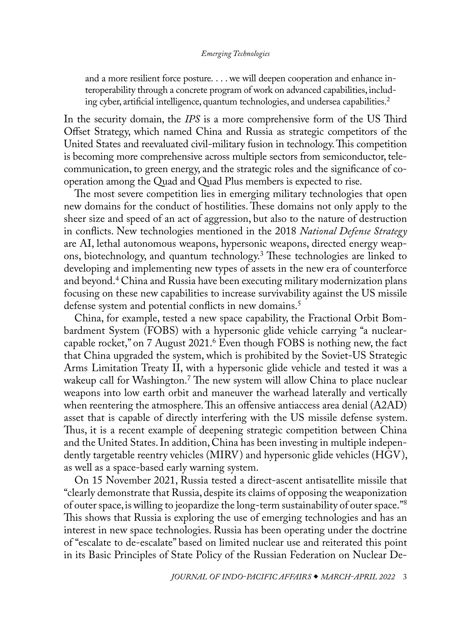<span id="page-1-0"></span>and a more resilient force posture. . . . we will deepen cooperation and enhance interoperability through a concrete program of work on advanced capabilities, including cyber, artificial intelligence, quantum technologies, and undersea capabilities.<sup>2</sup>

In the security domain, the *IPS* is a more comprehensive form of the US Third Offset Strategy, which named China and Russia as strategic competitors of the United States and reevaluated civil-military fusion in technology. This competition is becoming more comprehensive across multiple sectors from semiconductor, telecommunication, to green energy, and the strategic roles and the significance of cooperation among the Quad and Quad Plus members is expected to rise.

The most severe competition lies in emerging military technologies that open new domains for the conduct of hostilities. These domains not only apply to the sheer size and speed of an act of aggression, but also to the nature of destruction in conflicts. New technologies mentioned in the 2018 *National Defense Strategy* are AI, lethal autonomous weapons, hypersonic weapons, directed energy weapons, biotechnology, and quantum technology[.3](#page-11-0) These technologies are linked to developing and implementing new types of assets in the new era of counterforce and beyond.[4](#page-11-0) China and Russia have been executing military modernization plans focusing on these new capabilities to increase survivability against the US missile defense system and potential conflicts in new domains.<sup>[5](#page-11-0)</sup>

China, for example, tested a new space capability, the Fractional Orbit Bombardment System (FOBS) with a hypersonic glide vehicle carrying "a nuclearcapable rocket," on 7 August 2021.[6](#page-11-0) Even though FOBS is nothing new, the fact that China upgraded the system, which is prohibited by the Soviet-US Strategic Arms Limitation Treaty II, with a hypersonic glide vehicle and tested it was a wakeup call for Washington[.7](#page-11-0) The new system will allow China to place nuclear weapons into low earth orbit and maneuver the warhead laterally and vertically when reentering the atmosphere. This an offensive antiaccess area denial (A2AD) asset that is capable of directly interfering with the US missile defense system. Thus, it is a recent example of deepening strategic competition between China and the United States. In addition, China has been investing in multiple independently targetable reentry vehicles (MIRV) and hypersonic glide vehicles (HGV), as well as a space-based early warning system.

On 15 November 2021, Russia tested a direct-ascent antisatellite missile that "clearly demonstrate that Russia, despite its claims of opposing the weaponization of outer space, is willing to jeopardize the long-term sustainability of outer space."[8](#page-11-0) This shows that Russia is exploring the use of emerging technologies and has an interest in new space technologies. Russia has been operating under the doctrine of "escalate to de-escalate" based on limited nuclear use and reiterated this point in its Basic Principles of State Policy of the Russian Federation on Nuclear De-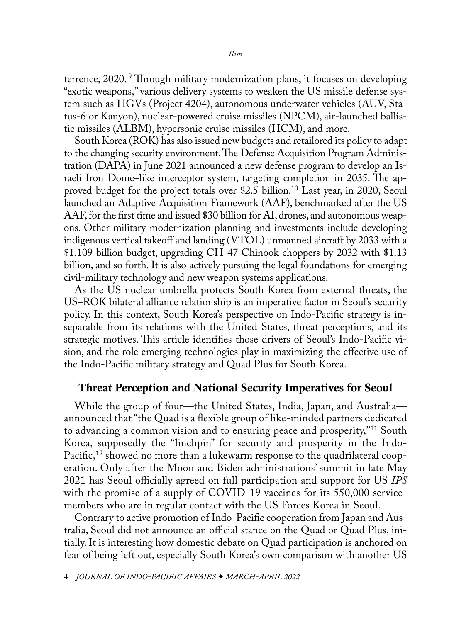<span id="page-2-0"></span>terrence, 2020. [9](#page-11-0) Through military modernization plans, it focuses on developing "exotic weapons," various delivery systems to weaken the US missile defense system such as HGVs (Project 4204), autonomous underwater vehicles (AUV, Status-6 or Kanyon), nuclear-powered cruise missiles (NPCM), air-launched ballistic missiles (ALBM), hypersonic cruise missiles (HCM), and more.

South Korea (ROK) has also issued new budgets and retailored its policy to adapt to the changing security environment. The Defense Acquisition Program Administration (DAPA) in June 2021 announced a new defense program to develop an Israeli Iron Dome–like interceptor system, targeting completion in 2035. The approved budget for the project totals over \$2.5 billion[.10](#page-12-0) Last year, in 2020, Seoul launched an Adaptive Acquisition Framework (AAF), benchmarked after the US AAF, for the first time and issued \$30 billion for AI, drones, and autonomous weapons. Other military modernization planning and investments include developing indigenous vertical takeoff and landing (VTOL) unmanned aircraft by 2033 with a \$1.109 billion budget, upgrading CH-47 Chinook choppers by 2032 with \$1.13 billion, and so forth. It is also actively pursuing the legal foundations for emerging civil-military technology and new weapon systems applications.

As the US nuclear umbrella protects South Korea from external threats, the US–ROK bilateral alliance relationship is an imperative factor in Seoul's security policy. In this context, South Korea's perspective on Indo-Pacific strategy is inseparable from its relations with the United States, threat perceptions, and its strategic motives. This article identifies those drivers of Seoul's Indo-Pacific vision, and the role emerging technologies play in maximizing the effective use of the Indo-Pacific military strategy and Quad Plus for South Korea.

# Threat Perception and National Security Imperatives for Seoul

While the group of four—the United States, India, Japan, and Australia announced that "the Quad is a flexible group of like-minded partners dedicated to advancing a common vision and to ensuring peace and prosperity,"<sup>11</sup> South Korea, supposedly the "linchpin" for security and prosperity in the Indo-Pacific,<sup>[12](#page-12-0)</sup> showed no more than a lukewarm response to the quadrilateral cooperation. Only after the Moon and Biden administrations' summit in late May 2021 has Seoul officially agreed on full participation and support for US *IPS* with the promise of a supply of COVID-19 vaccines for its 550,000 servicemembers who are in regular contact with the US Forces Korea in Seoul.

Contrary to active promotion of Indo-Pacific cooperation from Japan and Australia, Seoul did not announce an official stance on the Quad or Quad Plus, initially. It is interesting how domestic debate on Quad participation is anchored on fear of being left out, especially South Korea's own comparison with another US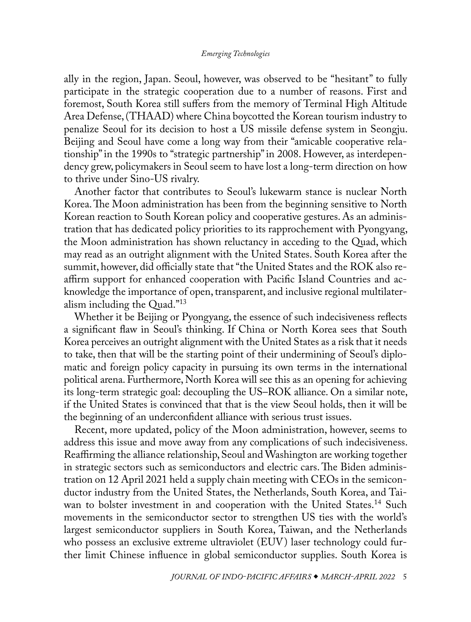<span id="page-3-0"></span>ally in the region, Japan. Seoul, however, was observed to be "hesitant" to fully participate in the strategic cooperation due to a number of reasons. First and foremost, South Korea still suffers from the memory of Terminal High Altitude Area Defense, (THAAD) where China boycotted the Korean tourism industry to penalize Seoul for its decision to host a US missile defense system in Seongju. Beijing and Seoul have come a long way from their "amicable cooperative relationship" in the 1990s to "strategic partnership" in 2008. However, as interdependency grew, policymakers in Seoul seem to have lost a long-term direction on how to thrive under Sino-US rivalry.

Another factor that contributes to Seoul's lukewarm stance is nuclear North Korea. The Moon administration has been from the beginning sensitive to North Korean reaction to South Korean policy and cooperative gestures. As an administration that has dedicated policy priorities to its rapprochement with Pyongyang, the Moon administration has shown reluctancy in acceding to the Quad, which may read as an outright alignment with the United States. South Korea after the summit, however, did officially state that "the United States and the ROK also reaffirm support for enhanced cooperation with Pacific Island Countries and acknowledge the importance of open, transparent, and inclusive regional multilateralism including the Quad."[13](#page-12-0)

Whether it be Beijing or Pyongyang, the essence of such indecisiveness reflects a significant flaw in Seoul's thinking. If China or North Korea sees that South Korea perceives an outright alignment with the United States as a risk that it needs to take, then that will be the starting point of their undermining of Seoul's diplomatic and foreign policy capacity in pursuing its own terms in the international political arena. Furthermore, North Korea will see this as an opening for achieving its long-term strategic goal: decoupling the US–ROK alliance. On a similar note, if the United States is convinced that that is the view Seoul holds, then it will be the beginning of an underconfident alliance with serious trust issues.

Recent, more updated, policy of the Moon administration, however, seems to address this issue and move away from any complications of such indecisiveness. Reaffirming the alliance relationship, Seoul and Washington are working together in strategic sectors such as semiconductors and electric cars. The Biden administration on 12 April 2021 held a supply chain meeting with CEOs in the semiconductor industry from the United States, the Netherlands, South Korea, and Taiwan to bolster investment in and cooperation with the United States.<sup>14</sup> Such movements in the semiconductor sector to strengthen US ties with the world's largest semiconductor suppliers in South Korea, Taiwan, and the Netherlands who possess an exclusive extreme ultraviolet (EUV) laser technology could further limit Chinese influence in global semiconductor supplies. South Korea is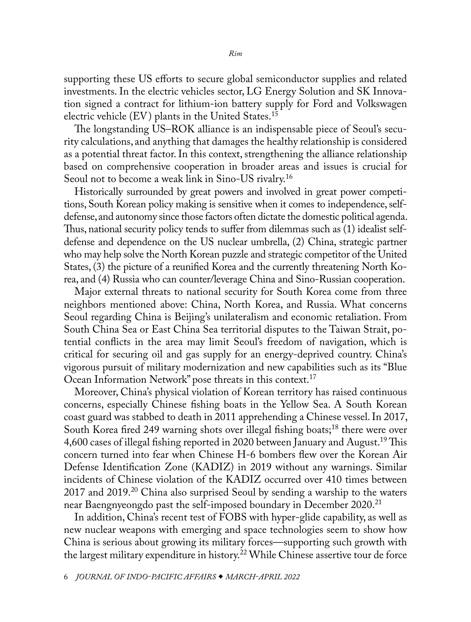<span id="page-4-0"></span>supporting these US efforts to secure global semiconductor supplies and related investments. In the electric vehicles sector, LG Energy Solution and SK Innovation signed a contract for lithium-ion battery supply for Ford and Volkswagen electric vehicle  $(EV)$  plants in the United States.<sup>15</sup>

The longstanding US–ROK alliance is an indispensable piece of Seoul's security calculations, and anything that damages the healthy relationship is considered as a potential threat factor. In this context, strengthening the alliance relationship based on comprehensive cooperation in broader areas and issues is crucial for Seoul not to become a weak link in Sino-US rivalry[.16](#page-12-0)

Historically surrounded by great powers and involved in great power competitions, South Korean policy making is sensitive when it comes to independence, selfdefense, and autonomy since those factors often dictate the domestic political agenda. Thus, national security policy tends to suffer from dilemmas such as (1) idealist selfdefense and dependence on the US nuclear umbrella, (2) China, strategic partner who may help solve the North Korean puzzle and strategic competitor of the United States, (3) the picture of a reunified Korea and the currently threatening North Korea, and (4) Russia who can counter/leverage China and Sino-Russian cooperation.

Major external threats to national security for South Korea come from three neighbors mentioned above: China, North Korea, and Russia. What concerns Seoul regarding China is Beijing's unilateralism and economic retaliation. From South China Sea or East China Sea territorial disputes to the Taiwan Strait, potential conflicts in the area may limit Seoul's freedom of navigation, which is critical for securing oil and gas supply for an energy-deprived country. China's vigorous pursuit of military modernization and new capabilities such as its "Blue Ocean Information Network" pose threats in this context.[17](#page-12-0)

Moreover, China's physical violation of Korean territory has raised continuous concerns, especially Chinese fishing boats in the Yellow Sea. A South Korean coast guard was stabbed to death in 2011 apprehending a Chinese vessel. In 2017, South Korea fired 249 warning shots over illegal fishing boats;[18](#page-12-0) there were over 4,600 cases of illegal fishing reported in 2020 between January and August.<sup>[19](#page-12-0)</sup> This concern turned into fear when Chinese H-6 bombers flew over the Korean Air Defense Identification Zone (KADIZ) in 2019 without any warnings. Similar incidents of Chinese violation of the KADIZ occurred over 410 times between 2017 and 2019.[20](#page-12-0) China also surprised Seoul by sending a warship to the waters near Baengnyeongdo past the self-imposed boundary in December 2020.<sup>[21](#page-12-0)</sup>

In addition, China's recent test of FOBS with hyper-glide capability, as well as new nuclear weapons with emerging and space technologies seem to show how China is serious about growing its military forces—supporting such growth with the largest military expenditure in history.[22](#page-12-0) While Chinese assertive tour de force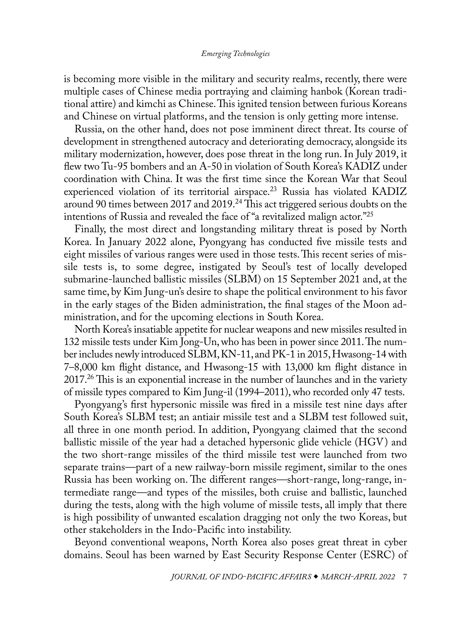<span id="page-5-0"></span>is becoming more visible in the military and security realms, recently, there were multiple cases of Chinese media portraying and claiming hanbok (Korean traditional attire) and kimchi as Chinese. This ignited tension between furious Koreans and Chinese on virtual platforms, and the tension is only getting more intense.

Russia, on the other hand, does not pose imminent direct threat. Its course of development in strengthened autocracy and deteriorating democracy, alongside its military modernization, however, does pose threat in the long run. In July 2019, it flew two Tu-95 bombers and an A-50 in violation of South Korea's KADIZ under coordination with China. It was the first time since the Korean War that Seoul experienced violation of its territorial airspace.<sup>23</sup> Russia has violated KADIZ around 90 times between 2017 and 2019.<sup>24</sup> This act triggered serious doubts on the intentions of Russia and revealed the face of "a revitalized malign actor.["25](#page-12-0)

Finally, the most direct and longstanding military threat is posed by North Korea. In January 2022 alone, Pyongyang has conducted five missile tests and eight missiles of various ranges were used in those tests. This recent series of missile tests is, to some degree, instigated by Seoul's test of locally developed submarine-launched ballistic missiles (SLBM) on 15 September 2021 and, at the same time, by Kim Jung-un's desire to shape the political environment to his favor in the early stages of the Biden administration, the final stages of the Moon administration, and for the upcoming elections in South Korea.

North Korea's insatiable appetite for nuclear weapons and new missiles resulted in 132 missile tests under Kim Jong-Un, who has been in power since 2011. The number includes newly introduced SLBM, KN-11, and PK-1 in 2015, Hwasong-14 with 7–8,000 km flight distance, and Hwasong-15 with 13,000 km flight distance in 2017[.26](#page-12-0) This is an exponential increase in the number of launches and in the variety of missile types compared to Kim Jung-il (1994–2011), who recorded only 47 tests.

Pyongyang's first hypersonic missile was fired in a missile test nine days after South Korea's SLBM test; an antiair missile test and a SLBM test followed suit, all three in one month period. In addition, Pyongyang claimed that the second ballistic missile of the year had a detached hypersonic glide vehicle (HGV) and the two short-range missiles of the third missile test were launched from two separate trains—part of a new railway-born missile regiment, similar to the ones Russia has been working on. The different ranges—short-range, long-range, intermediate range—and types of the missiles, both cruise and ballistic, launched during the tests, along with the high volume of missile tests, all imply that there is high possibility of unwanted escalation dragging not only the two Koreas, but other stakeholders in the Indo-Pacific into instability.

Beyond conventional weapons, North Korea also poses great threat in cyber domains. Seoul has been warned by East Security Response Center (ESRC) of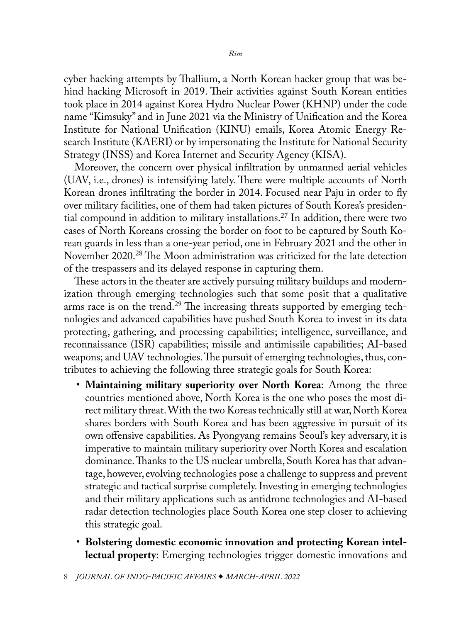<span id="page-6-0"></span>cyber hacking attempts by Thallium, a North Korean hacker group that was behind hacking Microsoft in 2019. Their activities against South Korean entities took place in 2014 against Korea Hydro Nuclear Power (KHNP) under the code name "Kimsuky" and in June 2021 via the Ministry of Unification and the Korea Institute for National Unification (KINU) emails, Korea Atomic Energy Research Institute (KAERI) or by impersonating the Institute for National Security Strategy (INSS) and Korea Internet and Security Agency (KISA).

Moreover, the concern over physical infiltration by unmanned aerial vehicles (UAV, i.e., drones) is intensifying lately. There were multiple accounts of North Korean drones infiltrating the border in 2014. Focused near Paju in order to fly over military facilities, one of them had taken pictures of South Korea's presiden-tial compound in addition to military installations.<sup>[27](#page-12-0)</sup> In addition, there were two cases of North Koreans crossing the border on foot to be captured by South Korean guards in less than a one-year period, one in February 2021 and the other in November 2020.[28](#page-12-0) The Moon administration was criticized for the late detection of the trespassers and its delayed response in capturing them.

These actors in the theater are actively pursuing military buildups and modernization through emerging technologies such that some posit that a qualitative arms race is on the trend.<sup>29</sup> The increasing threats supported by emerging technologies and advanced capabilities have pushed South Korea to invest in its data protecting, gathering, and processing capabilities; intelligence, surveillance, and reconnaissance (ISR) capabilities; missile and antimissile capabilities; AI-based weapons; and UAV technologies. The pursuit of emerging technologies, thus, contributes to achieving the following three strategic goals for South Korea:

- **Maintaining military superiority over North Korea**: Among the three countries mentioned above, North Korea is the one who poses the most direct military threat. With the two Koreas technically still at war, North Korea shares borders with South Korea and has been aggressive in pursuit of its own offensive capabilities. As Pyongyang remains Seoul's key adversary, it is imperative to maintain military superiority over North Korea and escalation dominance. Thanks to the US nuclear umbrella, South Korea has that advantage, however, evolving technologies pose a challenge to suppress and prevent strategic and tactical surprise completely. Investing in emerging technologies and their military applications such as antidrone technologies and AI-based radar detection technologies place South Korea one step closer to achieving this strategic goal.
- **Bolstering domestic economic innovation and protecting Korean intellectual property**: Emerging technologies trigger domestic innovations and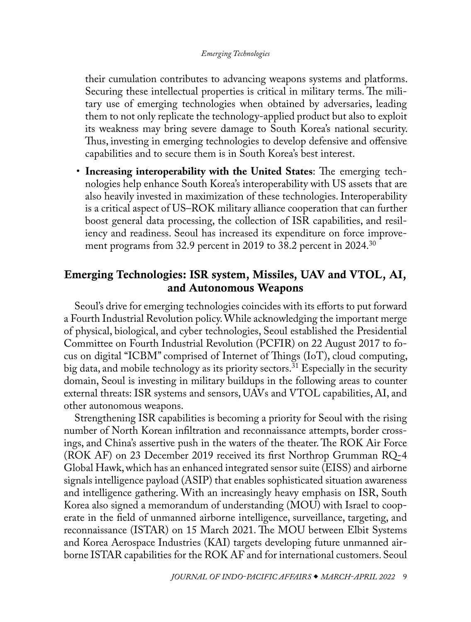<span id="page-7-0"></span>their cumulation contributes to advancing weapons systems and platforms. Securing these intellectual properties is critical in military terms. The military use of emerging technologies when obtained by adversaries, leading them to not only replicate the technology-applied product but also to exploit its weakness may bring severe damage to South Korea's national security. Thus, investing in emerging technologies to develop defensive and offensive capabilities and to secure them is in South Korea's best interest.

• **Increasing interoperability with the United States**: The emerging technologies help enhance South Korea's interoperability with US assets that are also heavily invested in maximization of these technologies. Interoperability is a critical aspect of US–ROK military alliance cooperation that can further boost general data processing, the collection of ISR capabilities, and resiliency and readiness. Seoul has increased its expenditure on force improvement programs from 32.9 percent in 2019 to 38.2 percent in 2024.<sup>30</sup>

# Emerging Technologies: ISR system, Missiles, UAV and VTOL, AI, and Autonomous Weapons

Seoul's drive for emerging technologies coincides with its efforts to put forward a Fourth Industrial Revolution policy. While acknowledging the important merge of physical, biological, and cyber technologies, Seoul established the Presidential Committee on Fourth Industrial Revolution (PCFIR) on 22 August 2017 to focus on digital "ICBM" comprised of Internet of Things (IoT), cloud computing, big data, and mobile technology as its priority sectors.<sup>31</sup> Especially in the security domain, Seoul is investing in military buildups in the following areas to counter external threats: ISR systems and sensors, UAVs and VTOL capabilities, AI, and other autonomous weapons.

Strengthening ISR capabilities is becoming a priority for Seoul with the rising number of North Korean infiltration and reconnaissance attempts, border crossings, and China's assertive push in the waters of the theater. The ROK Air Force (ROK AF) on 23 December 2019 received its first Northrop Grumman RQ-4 Global Hawk, which has an enhanced integrated sensor suite (EISS) and airborne signals intelligence payload (ASIP) that enables sophisticated situation awareness and intelligence gathering. With an increasingly heavy emphasis on ISR, South Korea also signed a memorandum of understanding (MOU) with Israel to cooperate in the field of unmanned airborne intelligence, surveillance, targeting, and reconnaissance (ISTAR) on 15 March 2021. The MOU between Elbit Systems and Korea Aerospace Industries (KAI) targets developing future unmanned airborne ISTAR capabilities for the ROK AF and for international customers. Seoul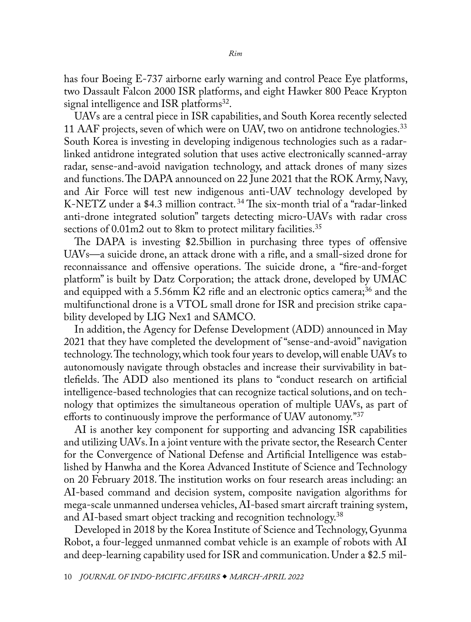<span id="page-8-0"></span>has four Boeing E-737 airborne early warning and control Peace Eye platforms, two Dassault Falcon 2000 ISR platforms, and eight Hawker 800 Peace Krypton signal intelligence and ISR platforms<sup>[32](#page-12-0)</sup>.

UAVs are a central piece in ISR capabilities, and South Korea recently selected 11 AAF projects, seven of which were on UAV, two on antidrone technologies.<sup>[33](#page-13-0)</sup> South Korea is investing in developing indigenous technologies such as a radarlinked antidrone integrated solution that uses active electronically scanned-array radar, sense-and-avoid navigation technology, and attack drones of many sizes and functions. The DAPA announced on 22 June 2021 that the ROK Army, Navy, and Air Force will test new indigenous anti-UAV technology developed by K-NETZ under a \$4.3 million contract. [34](#page-13-0) The six-month trial of a "radar-linked anti-drone integrated solution" targets detecting micro-UAVs with radar cross sections of 0.01m2 out to 8km to protect military facilities.<sup>35</sup>

The DAPA is investing \$2.5billion in purchasing three types of offensive UAVs—a suicide drone, an attack drone with a rifle, and a small-sized drone for reconnaissance and offensive operations. The suicide drone, a "fire-and-forget platform" is built by Datz Corporation; the attack drone, developed by UMAC and equipped with a 5.56mm K2 rifle and an electronic optics camera;<sup>[36](#page-13-0)</sup> and the multifunctional drone is a VTOL small drone for ISR and precision strike capability developed by LIG Nex1 and SAMCO.

In addition, the Agency for Defense Development (ADD) announced in May 2021 that they have completed the development of "sense-and-avoid" navigation technology. The technology, which took four years to develop, will enable UAVs to autonomously navigate through obstacles and increase their survivability in battlefields. The ADD also mentioned its plans to "conduct research on artificial intelligence-based technologies that can recognize tactical solutions, and on technology that optimizes the simultaneous operation of multiple UAVs, as part of efforts to continuously improve the performance of UAV autonomy.<sup>"[37](#page-13-0)</sup>

AI is another key component for supporting and advancing ISR capabilities and utilizing UAVs. In a joint venture with the private sector, the Research Center for the Convergence of National Defense and Artificial Intelligence was established by Hanwha and the Korea Advanced Institute of Science and Technology on 20 February 2018. The institution works on four research areas including: an AI-based command and decision system, composite navigation algorithms for mega-scale unmanned undersea vehicles, AI-based smart aircraft training system, and AI-based smart object tracking and recognition technology.<sup>38</sup>

Developed in 2018 by the Korea Institute of Science and Technology, Gyunma Robot, a four-legged unmanned combat vehicle is an example of robots with AI and deep-learning capability used for ISR and communication. Under a \$2.5 mil-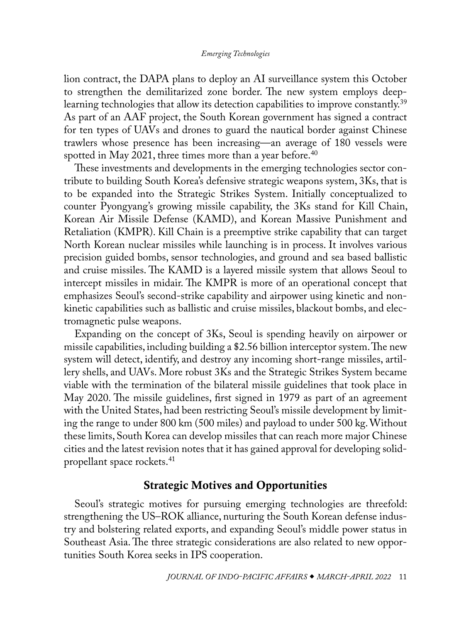<span id="page-9-0"></span>lion contract, the DAPA plans to deploy an AI surveillance system this October to strengthen the demilitarized zone border. The new system employs deeplearning technologies that allow its detection capabilities to improve constantly.<sup>39</sup> As part of an AAF project, the South Korean government has signed a contract for ten types of UAVs and drones to guard the nautical border against Chinese trawlers whose presence has been increasing—an average of 180 vessels were spotted in May 2021, three times more than a year before.<sup>[40](#page-13-0)</sup>

These investments and developments in the emerging technologies sector contribute to building South Korea's defensive strategic weapons system, 3Ks, that is to be expanded into the Strategic Strikes System. Initially conceptualized to counter Pyongyang's growing missile capability, the 3Ks stand for Kill Chain, Korean Air Missile Defense (KAMD), and Korean Massive Punishment and Retaliation (KMPR). Kill Chain is a preemptive strike capability that can target North Korean nuclear missiles while launching is in process. It involves various precision guided bombs, sensor technologies, and ground and sea based ballistic and cruise missiles. The KAMD is a layered missile system that allows Seoul to intercept missiles in midair. The KMPR is more of an operational concept that emphasizes Seoul's second-strike capability and airpower using kinetic and nonkinetic capabilities such as ballistic and cruise missiles, blackout bombs, and electromagnetic pulse weapons.

Expanding on the concept of 3Ks, Seoul is spending heavily on airpower or missile capabilities, including building a \$2.56 billion interceptor system. The new system will detect, identify, and destroy any incoming short-range missiles, artillery shells, and UAVs. More robust 3Ks and the Strategic Strikes System became viable with the termination of the bilateral missile guidelines that took place in May 2020. The missile guidelines, first signed in 1979 as part of an agreement with the United States, had been restricting Seoul's missile development by limiting the range to under 800 km (500 miles) and payload to under 500 kg. Without these limits, South Korea can develop missiles that can reach more major Chinese cities and the latest revision notes that it has gained approval for developing solidpropellant space rockets.[41](#page-13-0)

# Strategic Motives and Opportunities

Seoul's strategic motives for pursuing emerging technologies are threefold: strengthening the US–ROK alliance, nurturing the South Korean defense industry and bolstering related exports, and expanding Seoul's middle power status in Southeast Asia. The three strategic considerations are also related to new opportunities South Korea seeks in IPS cooperation.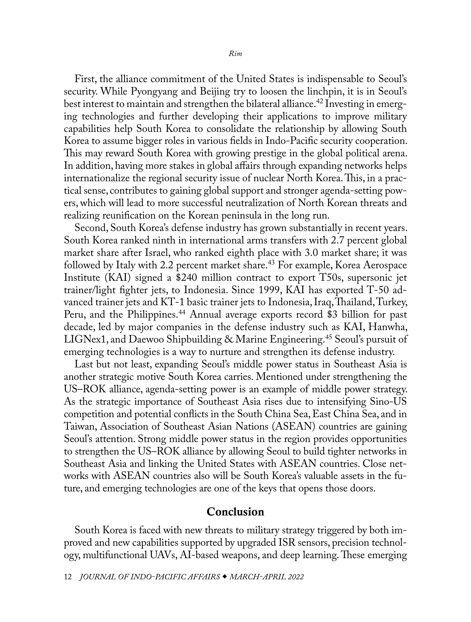<span id="page-10-0"></span>First, the alliance commitment of the United States is indispensable to Seoul's security. While Pyongyang and Beijing try to loosen the linchpin, it is in Seoul's best interest to maintain and strengthen the bilateral alliance.<sup>[42](#page-13-0)</sup> Investing in emerging technologies and further developing their applications to improve military capabilities help South Korea to consolidate the relationship by allowing South Korea to assume bigger roles in various fields in Indo-Pacific security cooperation. This may reward South Korea with growing prestige in the global political arena. In addition, having more stakes in global affairs through expanding networks helps internationalize the regional security issue of nuclear North Korea. This, in a practical sense, contributes to gaining global support and stronger agenda-setting powers, which will lead to more successful neutralization of North Korean threats and realizing reunification on the Korean peninsula in the long run.

Second, South Korea's defense industry has grown substantially in recent years. South Korea ranked ninth in international arms transfers with 2.7 percent global market share after Israel, who ranked eighth place with 3.0 market share; it was followed by Italy with 2.2 percent market share.<sup>43</sup> For example, Korea Aerospace Institute (KAI) signed a \$240 million contract to export T50s, supersonic jet trainer/light fighter jets, to Indonesia. Since 1999, KAI has exported T-50 advanced trainer jets and KT-1 basic trainer jets to Indonesia, Iraq, Thailand, Turkey, Peru, and the Philippines.<sup>[44](#page-13-0)</sup> Annual average exports record \$3 billion for past decade, led by major companies in the defense industry such as KAI, Hanwha, LIGNex1, and Daewoo Shipbuilding & Marine Engineering.<sup>45</sup> Seoul's pursuit of emerging technologies is a way to nurture and strengthen its defense industry.

Last but not least, expanding Seoul's middle power status in Southeast Asia is another strategic motive South Korea carries. Mentioned under strengthening the US–ROK alliance, agenda-setting power is an example of middle power strategy. As the strategic importance of Southeast Asia rises due to intensifying Sino-US competition and potential conflicts in the South China Sea, East China Sea, and in Taiwan, Association of Southeast Asian Nations (ASEAN) countries are gaining Seoul's attention. Strong middle power status in the region provides opportunities to strengthen the US–ROK alliance by allowing Seoul to build tighter networks in Southeast Asia and linking the United States with ASEAN countries. Close networks with ASEAN countries also will be South Korea's valuable assets in the future, and emerging technologies are one of the keys that opens those doors.

## Conclusion

South Korea is faced with new threats to military strategy triggered by both improved and new capabilities supported by upgraded ISR sensors, precision technology, multifunctional UAVs, AI-based weapons, and deep learning. These emerging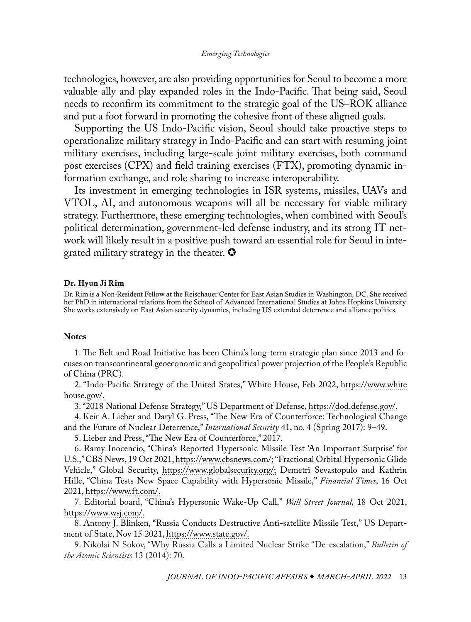<span id="page-11-0"></span>technologies, however, are also providing opportunities for Seoul to become a more valuable ally and play expanded roles in the Indo-Pacific. That being said, Seoul needs to reconfirm its commitment to the strategic goal of the US–ROK alliance and put a foot forward in promoting the cohesive front of these aligned goals.

Supporting the US Indo-Pacific vision, Seoul should take proactive steps to operationalize military strategy in Indo-Pacific and can start with resuming joint military exercises, including large-scale joint military exercises, both command post exercises (CPX) and field training exercises (FTX), promoting dynamic information exchange, and role sharing to increase interoperability.

Its investment in emerging technologies in ISR systems, missiles, UAVs and VTOL, AI, and autonomous weapons will all be necessary for viable military strategy. Furthermore, these emerging technologies, when combined with Seoul's political determination, government-led defense industry, and its strong IT network will likely result in a positive push toward an essential role for Seoul in integrated military strategy in the theater.  $\bullet$ 

#### [Dr. Hyun Ji Rim](#page-0-0)

Dr. Rim is a Non-Resident Fellow at the Reischauer Center for East Asian Studies in Washington, DC. She received her PhD in international relations from the School of Advanced International Studies at Johns Hopkins University. She works extensively on East Asian security dynamics, including US extended deterrence and alliance politics.

#### **Notes**

[1](#page-0-1). The Belt and Road Initiative has been China's long-term strategic plan since 2013 and focuses on transcontinental geoeconomic and geopolitical power projection of the People's Republic of China (PRC).

[2](#page-1-0). "Indo-Pacific Strategy of the United States," White House, Feb 2022, [https://www.white](https://www.whitehouse.gov/wp-content/uploads/2022/02/U.S.-Indo-Pacific-Strategy.pdf) [house.gov/](https://www.whitehouse.gov/wp-content/uploads/2022/02/U.S.-Indo-Pacific-Strategy.pdf).

[3](#page-1-0). "2018 National Defense Strategy," US Department of Defense, [https://dod.defense.gov/](https://dod.defense.gov/Portals/1/Documents/pubs/2018-National-Defense-Strategy-Summary.pdf).

[4](#page-1-0). Keir A. Lieber and Daryl G. Press, "The New Era of Counterforce: Technological Change and the Future of Nuclear Deterrence," *International Security* 41, no. 4 (Spring 2017): 9–49.

[5](#page-1-0). Lieber and Press, "The New Era of Counterforce," 2017.

[6](#page-1-0). Ramy Inocencio, "China's Reported Hypersonic Missile Test 'An Important Surprise' for U.S.," CBS News, 19 Oct 2021, [https://www.cbsnews.com/](https://www.cbsnews.com/news/china-hypersonic-missile-test-called-important-surprise-for-us/); "Fractional Orbital Hypersonic Glide Vehicle," Global Security, [https://www.globalsecurity.org/;](https://www.globalsecurity.org/wmd/world/china/df-fobs.htm) Demetri Sevastopulo and Kathrin Hille, "China Tests New Space Capability with Hypersonic Missile," *Financial Times*, 16 Oct 2021, [https://www.ft.com/](https://www.ft.com/content/ba0a3cde-719b-4040-93cb-a486e1f843fb).

[7](#page-1-0). Editorial board, "China's Hypersonic Wake-Up Call," *Wall Street Journal,* 18 Oct 2021, [https://www.wsj.com/](https://www.wsj.com/articles/chinas-hypersonic-wake-up-call-11634596933).

[8](#page-1-0). Antony J. Blinken, "Russia Conducts Destructive Anti-satellite Missile Test," US Department of State, Nov 15 2021, [https://www.state.gov/.](https://www.state.gov/russia-conducts-destructive-anti-satellite-missile-test/)

[9](#page-2-0). Nikolai N Sokov, "Why Russia Calls a Limited Nuclear Strike "De-escalation," *Bulletin of the Atomic Scientists* 13 (2014): 70.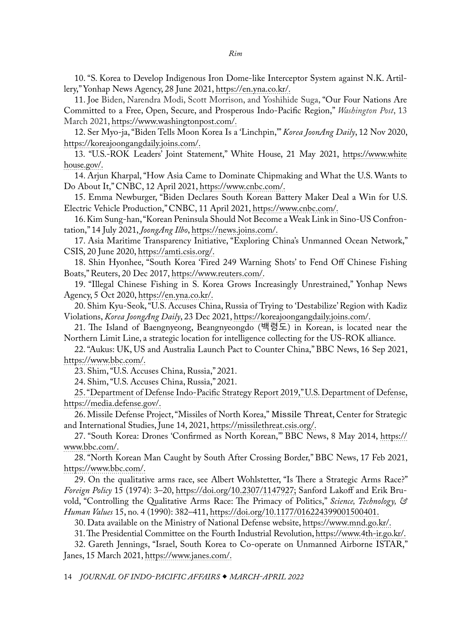<span id="page-12-0"></span>[10](#page-2-0). "S. Korea to Develop Indigenous Iron Dome-like Interceptor System against N.K. Artillery," Yonhap News Agency, 28 June 2021, [https://en.yna.co.kr/](https://en.yna.co.kr/view/AEN20210628005400325).

[11](#page-2-0). Joe Biden, Narendra Modi, Scott Morrison, and Yoshihide Suga, "Our Four Nations Are Committed to a Free, Open, Secure, and Prosperous Indo-Pacific Region," *Washington Post*, 13 March 2021, [https://www.washingtonpost.com/.](https://www.washingtonpost.com/opinions/2021/03/13/biden-modi-morrison-suga-quad-nations-indo-pacific/)

[12](#page-2-0). Ser Myo-ja, "Biden Tells Moon Korea Is a 'Linchpin,'" *Korea JoonAng Daily*, 12 Nov 2020, [https://koreajoongangdaily.joins.com/.](https://koreajoongangdaily.joins.com/2020/11/12/national/politics/Joe-Biden-Moon-Jaein-alliance/20201112183500443.html)

[13.](#page-3-0) "U.S.-ROK Leaders' Joint Statement," White House, 21 May 2021, [https://www.white](https://www.whitehouse.gov/briefing-room/statements-releases/2021/05/21/u-s-rok-leaders-joint-statement/) [house.gov/.](https://www.whitehouse.gov/briefing-room/statements-releases/2021/05/21/u-s-rok-leaders-joint-statement/)

[14](#page-3-0). Arjun Kharpal, "How Asia Came to Dominate Chipmaking and What the U.S. Wants to Do About It," CNBC, 12 April 2021, [https://www.cnbc.com/](https://www.cnbc.com/2021/04/12/us-semiconductor-policy-looks-to-cut-out-china-secure-supply-chain.html).

[15](#page-4-0). Emma Newburger, "Biden Declares South Korean Battery Maker Deal a Win for U.S. Electric Vehicle Production," CNBC, 11 April 2021, [https://www.cnbc.com/](https://www.cnbc.com/2021/04/11/biden-praises-south-korean-battery-maker-deal-as-win-for-us-electric-vehicle-push.html).

[16](#page-4-0). Kim Sung-han, "Korean Peninsula Should Not Become a Weak Link in Sino-US Confrontation," 14 July 2021, *JoongAng Ilbo*, [https://news.joins.com/.](https://news.joins.com/article/24104901)

[17](#page-4-0). Asia Maritime Transparency Initiative, "Exploring China's Unmanned Ocean Network," CSIS, 20 June 2020, [https://amti.csis.org/.](https://amti.csis.org/exploring-chinas-unmanned-ocean-network/)

[18](#page-4-0). Shin Hyonhee, "South Korea 'Fired 249 Warning Shots' to Fend Off Chinese Fishing Boats," Reuters, 20 Dec 2017, [https://www.reuters.com/](https://www.reuters.com/article/us-southkorea-china-fishingboats/south-korea-fired-249-warning-shots-to-fend-off-chinese-fishing-boats-idUSKBN1EE0ZH).

[19](#page-4-0). "Illegal Chinese Fishing in S. Korea Grows Increasingly Unrestrained," Yonhap News Agency, 5 Oct 2020, [https://en.yna.co.kr/.](https://en.yna.co.kr/view/AEN20201005007200315)

[20](#page-4-0). Shim Kyu-Seok, "U.S. Accuses China, Russia of Trying to 'Destabilize' Region with Kadiz Violations, *Korea JoongAng Daily*, 23 Dec 2021, [https://koreajoongangdaily.joins.com/](https://koreajoongangdaily.joins.com/2020/12/23/national/defense/kadiz-Russia-China/20201223174800484.html).

[21](#page-4-0). The Island of Baengnyeong, Beangnyeongdo (백령도) in Korean, is located near the Northern Limit Line, a strategic location for intelligence collecting for the US-ROK alliance.

[22](#page-4-0). "Aukus: UK, US and Australia Launch Pact to Counter China," BBC News, 16 Sep 2021, [https://www.bbc.com/.](https://www.bbc.com/news/world-58564837)

[23](#page-5-0). Shim, "U.S. Accuses China, Russia," 2021.

[24](#page-5-0). Shim, "U.S. Accuses China, Russia," 2021.

[25](#page-5-0). "Department of Defense Indo-Pacific Strategy Report 2019," U.S. Department of Defense, [https://media.defense.gov/](https://media.defense.gov/2019/Jul/01/2002152311/-1/-1/1/DEPARTMENT-OF-DEFENSE-INDO-PACIFIC-STRATEGY-REPORT-2019.PDF).

[26](#page-5-0). Missile Defense Project, "Missiles of North Korea," Missile Threat, Center for Strategic and International Studies, June 14, 2021, [https://missilethreat.csis.org/](https://missilethreat.csis.org/country/dprk/).

[27](#page-6-0). "South Korea: Drones 'Confirmed as North Korean,'" BBC News, 8 May 2014, [https://](https://www.bbc.com/news/world-asia-27321668) [www.bbc.com/.](https://www.bbc.com/news/world-asia-27321668)

[28](#page-6-0). "North Korean Man Caught by South After Crossing Border," BBC News, 17 Feb 2021, [https://www.bbc.com/.](https://www.bbc.com/news/world-asia-56083161)

[29](#page-6-0). On the qualitative arms race, see Albert Wohlstetter, "Is There a Strategic Arms Race?" *Foreign Policy* 15 (1974): 3–20, [https://doi.org/10.2307/1147927;](https://doi.org/10.2307/1147927) Sanford Lakoff and Erik Bruvold, "Controlling the Qualitative Arms Race: The Primacy of Politics," *Science, Technology, & Human Values* 15, no. 4 (1990): 382–411, [https://doi.org/10.1177/016224399001500401.](https://doi.org/10.1177%2F016224399001500401)

[30](#page-7-0). Data available on the Ministry of National Defense website, [https://www.mnd.go.kr/.](https://www.mnd.go.kr/user/boardList.action?boardId=O_59748&siteId=mnd&id=mnd_010403000000)

[31.](#page-7-0) The Presidential Committee on the Fourth Industrial Revolution,<https://www.4th-ir.go.kr/>.

[32](#page-8-0). Gareth Jennings, "Israel, South Korea to Co-operate on Unmanned Airborne ISTAR," Janes, 15 March 2021, [https://www.janes.com/.](https://www.janes.com/defence-news/news-detail/israel-south-korea-to-co-operate-on-unmanned-airborne-istar)

14 *JOURNAL OF INDO-PACIFIC AFFAIRS MARCH-APRIL 2022*